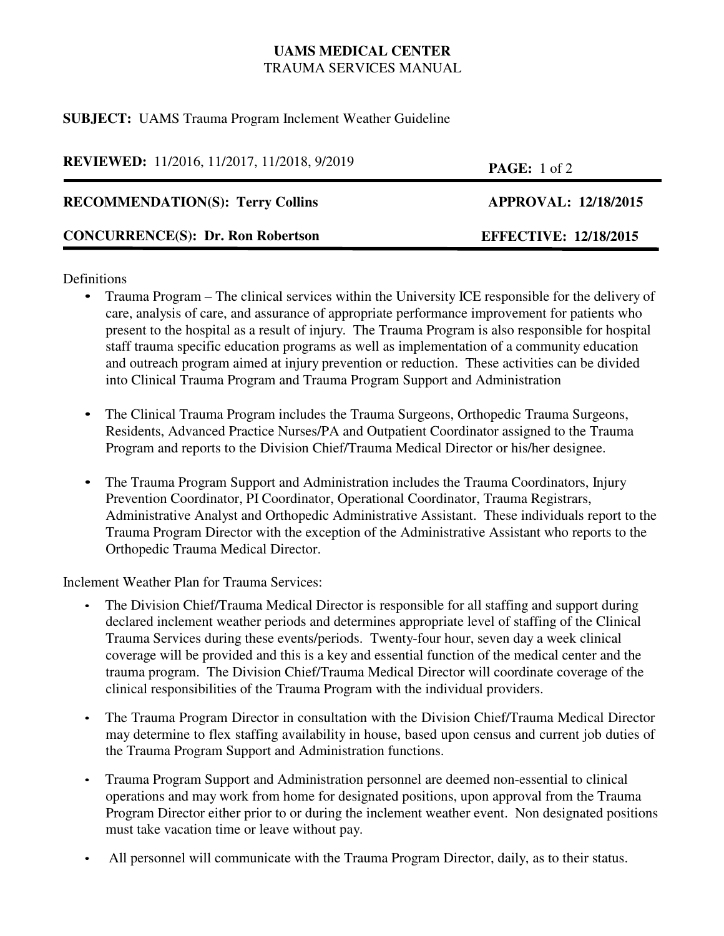# **UAMS MEDICAL CENTER** TRAUMA SERVICES MANUAL

### **SUBJECT:** UAMS Trauma Program Inclement Weather Guideline

**REVIEWED:** 11/2016, 11/2017, 11/2018, 9/2019 **PAGE:** 1 of 2

## RECOMMENDATION(S): Terry Collins **APPROVAL: 12/18/2015**

# **CONCURRENCE(S): Dr. Ron Robertson EFFECTIVE: 12/18/2015**

### **Definitions**

- Trauma Program The clinical services within the University ICE responsible for the delivery of care, analysis of care, and assurance of appropriate performance improvement for patients who present to the hospital as a result of injury. The Trauma Program is also responsible for hospital staff trauma specific education programs as well as implementation of a community education and outreach program aimed at injury prevention or reduction. These activities can be divided into Clinical Trauma Program and Trauma Program Support and Administration
- The Clinical Trauma Program includes the Trauma Surgeons, Orthopedic Trauma Surgeons, Residents, Advanced Practice Nurses/PA and Outpatient Coordinator assigned to the Trauma Program and reports to the Division Chief/Trauma Medical Director or his/her designee.
- The Trauma Program Support and Administration includes the Trauma Coordinators, Injury Prevention Coordinator, PI Coordinator, Operational Coordinator, Trauma Registrars, Administrative Analyst and Orthopedic Administrative Assistant. These individuals report to the Trauma Program Director with the exception of the Administrative Assistant who reports to the Orthopedic Trauma Medical Director.

Inclement Weather Plan for Trauma Services:

- The Division Chief/Trauma Medical Director is responsible for all staffing and support during declared inclement weather periods and determines appropriate level of staffing of the Clinical Trauma Services during these events/periods. Twenty-four hour, seven day a week clinical coverage will be provided and this is a key and essential function of the medical center and the trauma program. The Division Chief/Trauma Medical Director will coordinate coverage of the clinical responsibilities of the Trauma Program with the individual providers.
- The Trauma Program Director in consultation with the Division Chief/Trauma Medical Director may determine to flex staffing availability in house, based upon census and current job duties of the Trauma Program Support and Administration functions.
- Trauma Program Support and Administration personnel are deemed non-essential to clinical operations and may work from home for designated positions, upon approval from the Trauma Program Director either prior to or during the inclement weather event. Non designated positions must take vacation time or leave without pay.
- All personnel will communicate with the Trauma Program Director, daily, as to their status.